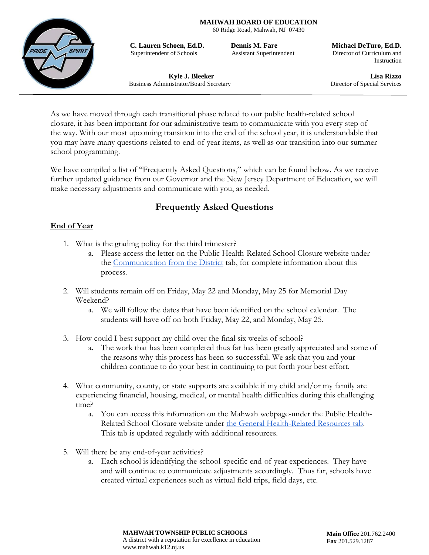**MAHWAH BOARD OF EDUCATION**

60 Ridge Road, Mahwah, NJ 07430



**C. Lauren Schoen, Ed.D. Dennis M. Fare Michael DeTuro, Ed.D.** Superintendent of Schools Assistant Superintendent Director of Curriculum and

Instruction

Business Administrator/Board Secretary Director of Special Services

**Kyle J. Bleeker Lisa Rizzo**

As we have moved through each transitional phase related to our public health-related school closure, it has been important for our administrative team to communicate with you every step of the way. With our most upcoming transition into the end of the school year, it is understandable that you may have many questions related to end-of-year items, as well as our transition into our summer school programming.

We have compiled a list of "Frequently Asked Questions," which can be found below. As we receive further updated guidance from our Governor and the New Jersey Department of Education, we will make necessary adjustments and communicate with you, as needed.

# **Frequently Asked Questions**

## **End of Year**

- 1. What is the grading policy for the third trimester?
	- a. Please access the letter on the Public Health-Related School Closure website under the Communication from the District tab, for complete information about this process.
- 2. Will students remain off on Friday, May 22 and Monday, May 25 for Memorial Day Weekend?
	- a. We will follow the dates that have been identified on the school calendar. The students will have off on both Friday, May 22, and Monday, May 25.
- 3. How could I best support my child over the final six weeks of school?
	- a. The work that has been completed thus far has been greatly appreciated and some of the reasons why this process has been so successful. We ask that you and your children continue to do your best in continuing to put forth your best effort.
- 4. What community, county, or state supports are available if my child and/or my family are experiencing financial, housing, medical, or mental health difficulties during this challenging time?
	- a. You can access this information on the Mahwah webpage-under the Public Health-Related School Closure website under the General Health-Related Resources tab. This tab is updated regularly with additional resources.
- 5. Will there be any end-of-year activities?
	- a. Each school is identifying the school-specific end-of-year experiences. They have and will continue to communicate adjustments accordingly. Thus far, schools have created virtual experiences such as virtual field trips, field days, etc.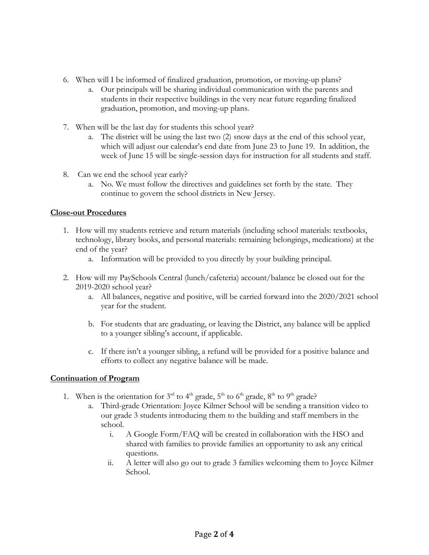- 6. When will I be informed of finalized graduation, promotion, or moving-up plans?
	- a. Our principals will be sharing individual communication with the parents and students in their respective buildings in the very near future regarding finalized graduation, promotion, and moving-up plans.
- 7. When will be the last day for students this school year?
	- a. The district will be using the last two (2) snow days at the end of this school year, which will adjust our calendar's end date from June 23 to June 19. In addition, the week of June 15 will be single-session days for instruction for all students and staff.
- 8. Can we end the school year early?
	- a. No. We must follow the directives and guidelines set forth by the state. They continue to govern the school districts in New Jersey.

### **Close-out Procedures**

- 1. How will my students retrieve and return materials (including school materials: textbooks, technology, library books, and personal materials: remaining belongings, medications) at the end of the year?
	- a. Information will be provided to you directly by your building principal.
- 2. How will my PaySchools Central (lunch/cafeteria) account/balance be closed out for the 2019-2020 school year?
	- a. All balances, negative and positive, will be carried forward into the 2020/2021 school year for the student.
	- b. For students that are graduating, or leaving the District, any balance will be applied to a younger sibling's account, if applicable.
	- c. If there isn't a younger sibling, a refund will be provided for a positive balance and efforts to collect any negative balance will be made.

### **Continuation of Program**

- 1. When is the orientation for  $3<sup>rd</sup>$  to  $4<sup>th</sup>$  grade,  $5<sup>th</sup>$  to  $6<sup>th</sup>$  grade,  $8<sup>th</sup>$  to  $9<sup>th</sup>$  grade?
	- a. Third-grade Orientation: Joyce Kilmer School will be sending a transition video to our grade 3 students introducing them to the building and staff members in the school.
		- i. A Google Form/FAQ will be created in collaboration with the HSO and shared with families to provide families an opportunity to ask any critical questions.
		- ii. A letter will also go out to grade 3 families welcoming them to Joyce Kilmer School.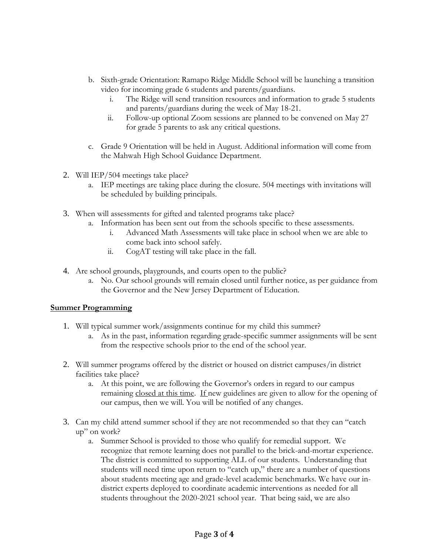- b. Sixth-grade Orientation: Ramapo Ridge Middle School will be launching a transition video for incoming grade 6 students and parents/guardians.
	- i. The Ridge will send transition resources and information to grade 5 students and parents/guardians during the week of May 18-21.
	- ii. Follow-up optional Zoom sessions are planned to be convened on May 27 for grade 5 parents to ask any critical questions.
- c. Grade 9 Orientation will be held in August. Additional information will come from the Mahwah High School Guidance Department.
- 2. Will IEP/504 meetings take place?
	- a. IEP meetings are taking place during the closure. 504 meetings with invitations will be scheduled by building principals.
- 3. When will assessments for gifted and talented programs take place?
	- a. Information has been sent out from the schools specific to these assessments.
		- i. Advanced Math Assessments will take place in school when we are able to come back into school safely.
		- ii. CogAT testing will take place in the fall.
- 4. Are school grounds, playgrounds, and courts open to the public?
	- a. No. Our school grounds will remain closed until further notice, as per guidance from the Governor and the New Jersey Department of Education.

#### **Summer Programming**

- 1. Will typical summer work/assignments continue for my child this summer?
	- a. As in the past, information regarding grade-specific summer assignments will be sent from the respective schools prior to the end of the school year.
- 2. Will summer programs offered by the district or housed on district campuses/in district facilities take place?
	- a. At this point, we are following the Governor's orders in regard to our campus remaining closed at this time. If new guidelines are given to allow for the opening of our campus, then we will. You will be notified of any changes.
- 3. Can my child attend summer school if they are not recommended so that they can "catch up" on work?
	- a. Summer School is provided to those who qualify for remedial support. We recognize that remote learning does not parallel to the brick-and-mortar experience. The district is committed to supporting ALL of our students. Understanding that students will need time upon return to "catch up," there are a number of questions about students meeting age and grade-level academic benchmarks. We have our indistrict experts deployed to coordinate academic interventions as needed for all students throughout the 2020-2021 school year. That being said, we are also